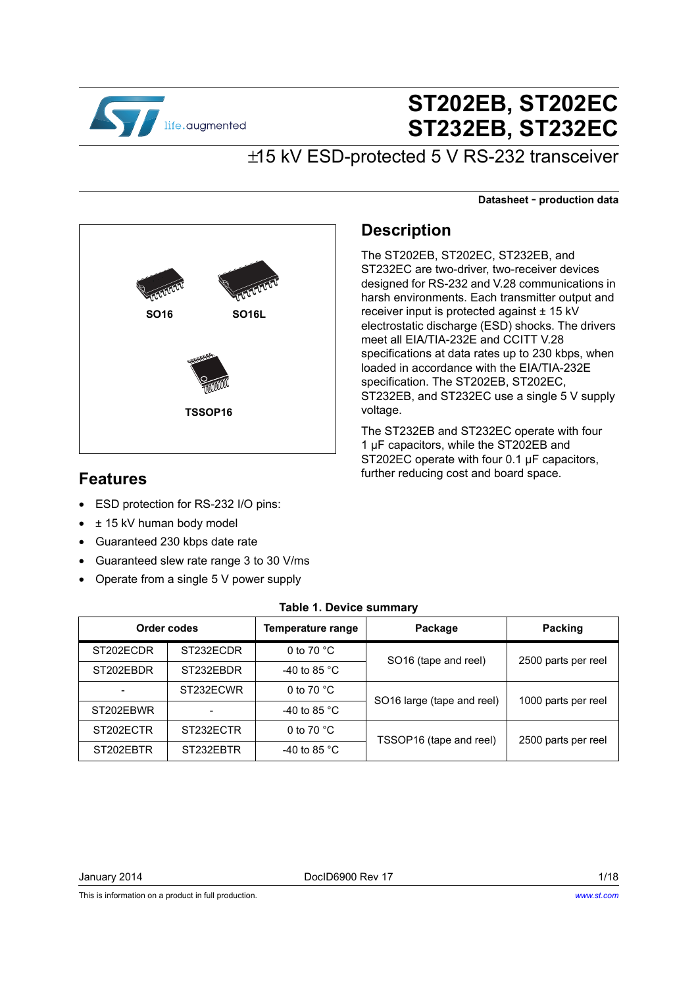

# **ST202EB, ST202EC ST232EB, ST232EC**

## ±15 kV ESD-protected 5 V RS-232 transceiver

**Datasheet** - **production data**



## **Description**

The ST202EB, ST202EC, ST232EB, and ST232EC are two-driver, two-receiver devices designed for RS-232 and V.28 communications in harsh environments. Each transmitter output and receiver input is protected against ± 15 kV electrostatic discharge (ESD) shocks. The drivers meet all EIA/TIA-232E and CCITT V.28 specifications at data rates up to 230 kbps, when loaded in accordance with the EIA/TIA-232E specification. The ST202EB, ST202EC, ST232EB, and ST232EC use a single 5 V supply voltage.

The ST232EB and ST232EC operate with four 1 µF capacitors, while the ST202EB and ST202EC operate with four 0.1 µF capacitors, further reducing cost and board space.

## **Features**

- ESD protection for RS-232 I/O pins:
- $\cdot$   $\pm$  15 kV human body model
- Guaranteed 230 kbps date rate
- Guaranteed slew rate range 3 to 30 V/ms
- Operate from a single 5 V power supply

<span id="page-0-0"></span>

| Order codes |           | <b>Temperature range</b> | Package                          | <b>Packing</b>      |  |
|-------------|-----------|--------------------------|----------------------------------|---------------------|--|
| ST202ECDR   | ST232ECDR | 0 to 70 $^{\circ}$ C     | SO <sub>16</sub> (tape and reel) | 2500 parts per reel |  |
| ST202EBDR   | ST232EBDR | -40 to 85 $^{\circ}$ C   |                                  |                     |  |
|             | ST232ECWR | 0 to 70 $^{\circ}$ C     | SO16 large (tape and reel)       | 1000 parts per reel |  |
| ST202EBWR   | -         | -40 to 85 $^{\circ}$ C   |                                  |                     |  |
| ST202ECTR   | ST232ECTR | 0 to 70 $^{\circ}$ C     | TSSOP16 (tape and reel)          | 2500 parts per reel |  |
| ST202EBTR   | ST232EBTR | -40 to 85 $^{\circ}$ C   |                                  |                     |  |

#### **Table 1. Device summary**

January 2014 DocID6900 Rev 17 1/18

This is information on a product in full production.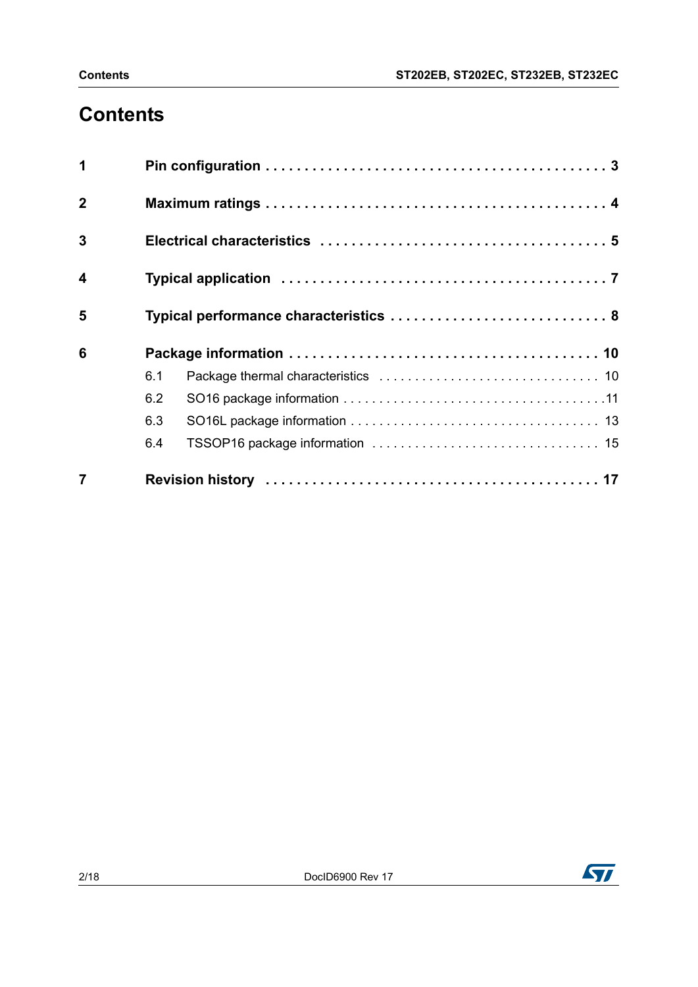# **Contents**

|                  | 6.4 |                                        |
|------------------|-----|----------------------------------------|
|                  | 6.3 |                                        |
|                  | 6.2 |                                        |
|                  | 6.1 |                                        |
| 6                |     |                                        |
| 5                |     | Typical performance characteristics  8 |
| $\boldsymbol{4}$ |     |                                        |
| $\overline{3}$   |     |                                        |
| $\overline{2}$   |     |                                        |
| 1                |     |                                        |

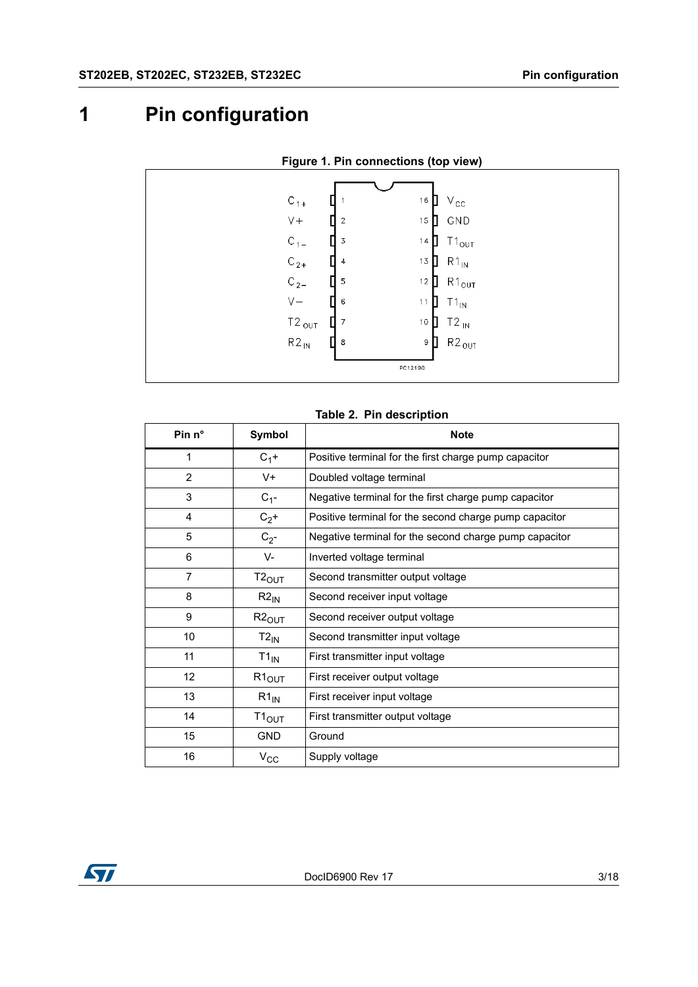# <span id="page-2-0"></span>**1 Pin configuration**



#### **Figure 1. Pin connections (top view)**

#### **Table 2. Pin description**

| Pin $n^{\circ}$ | Symbol            | <b>Note</b>                                            |  |
|-----------------|-------------------|--------------------------------------------------------|--|
| 1               | $C_1$ +           | Positive terminal for the first charge pump capacitor  |  |
| 2               | $V +$             | Doubled voltage terminal                               |  |
| 3               | $C_{1}$ -         | Negative terminal for the first charge pump capacitor  |  |
| 4               | $C_2$ +           | Positive terminal for the second charge pump capacitor |  |
| 5               | $C_{2}$ -         | Negative terminal for the second charge pump capacitor |  |
| 6               | V-                | Inverted voltage terminal                              |  |
| 7               | $T2_{\text{OUT}}$ | Second transmitter output voltage                      |  |
| 8               | $R2_{IN}$         | Second receiver input voltage                          |  |
| 9               | $R2_{OUT}$        | Second receiver output voltage                         |  |
| 10              | $T2_{\text{IN}}$  | Second transmitter input voltage                       |  |
| 11              | $T1_{IN}$         | First transmitter input voltage                        |  |
| 12              | $R1_{OUT}$        | First receiver output voltage                          |  |
| 13              | $R1_{\text{IN}}$  | First receiver input voltage                           |  |
| 14              | T1 <sub>OUT</sub> | First transmitter output voltage                       |  |
| 15              | <b>GND</b>        | Ground                                                 |  |
| 16              | $V_{\rm CC}$      | Supply voltage                                         |  |

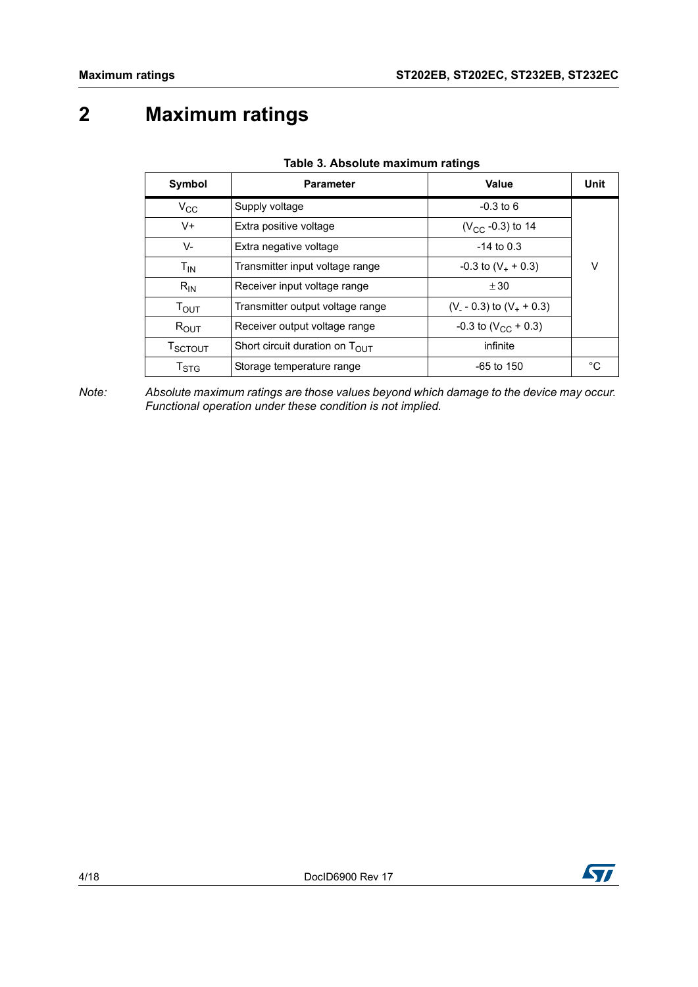# <span id="page-3-0"></span>**2 Maximum ratings**

| Symbol                         | <b>Parameter</b>                           | Value                      | Unit |
|--------------------------------|--------------------------------------------|----------------------------|------|
| $V_{\rm CC}$                   | Supply voltage                             | $-0.3$ to 6                |      |
| V+                             | Extra positive voltage                     | $(V_{CC} -0.3)$ to 14      |      |
| V-                             | Extra negative voltage                     | $-14$ to 0.3               |      |
| $T_{IN}$                       | Transmitter input voltage range            | $-0.3$ to $(V_+ + 0.3)$    | V    |
| $R_{IN}$                       | Receiver input voltage range               | ± 30                       |      |
| $T_{\text{OUT}}$               | Transmitter output voltage range           | $(V - 0.3)$ to $(V + 0.3)$ |      |
| $R_{OUT}$                      | Receiver output voltage range              | $-0.3$ to $(V_{CC} + 0.3)$ |      |
| $\mathsf{T}_{\mathsf{SCTOUT}}$ | Short circuit duration on $T_{\text{OUT}}$ | infinite                   |      |
| $\mathsf{T}_{\text{STG}}$      | Storage temperature range                  | $-65$ to 150               | °C   |

|  | Table 3. Absolute maximum ratings |  |
|--|-----------------------------------|--|
|  |                                   |  |

*Note: Absolute maximum ratings are those values beyond which damage to the device may occur. Functional operation under these condition is not implied.*

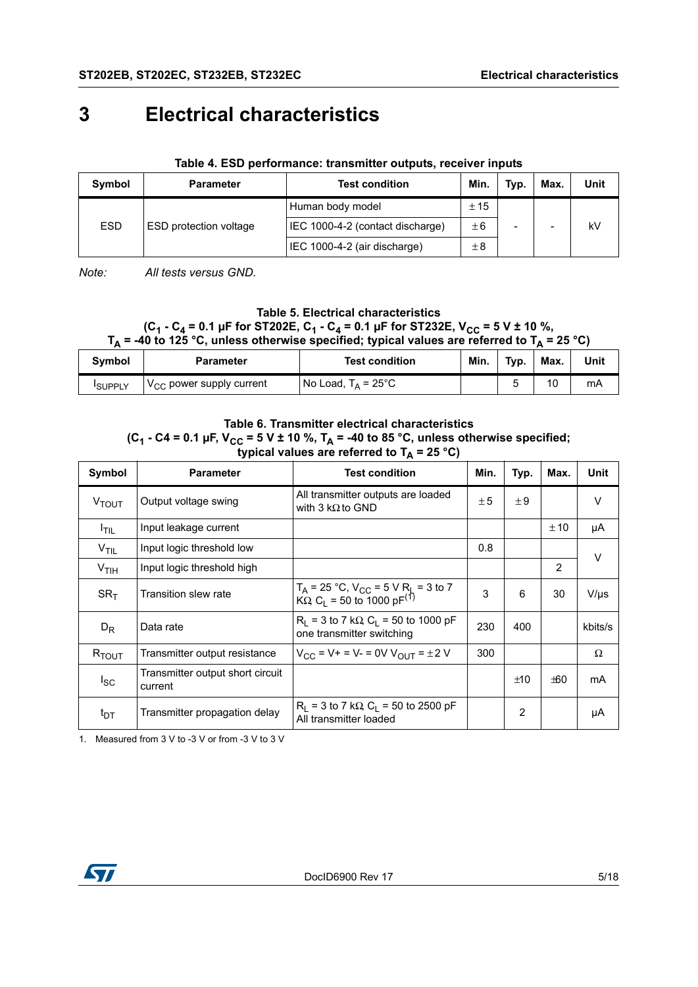# <span id="page-4-0"></span>**3 Electrical characteristics**

| Symbol     | <b>Parameter</b>              | <b>Test condition</b>            | Min.    | Typ. | Max.                     | Unit |
|------------|-------------------------------|----------------------------------|---------|------|--------------------------|------|
|            |                               | Human body model                 | ± 15    |      |                          |      |
| <b>ESD</b> | <b>ESD</b> protection voltage | IEC 1000-4-2 (contact discharge) | ±6      | -    | $\overline{\phantom{0}}$ | kV   |
|            |                               | IEC 1000-4-2 (air discharge)     | $\pm 8$ |      |                          |      |

#### **Table 4. ESD performance: transmitter outputs, receiver inputs**

*Note: All tests versus GND.*

## **Table 5. Electrical characteristics**

#### $(C_1 - C_4 = 0.1 \,\mu\text{F}$  for ST202E,  $C_1 - C_4 = 0.1 \,\mu\text{F}$  for ST232E,  $V_{CC} = 5 \,\text{V} \pm 10 \,\%$ , T<sub>A</sub> = -40 to 125 °C, unless otherwise specified; typical values are referred to T<sub>A</sub> = 25 °C)

| Symbol         | <b>Parameter</b>                     | <b>Test condition</b>         | Min. | Typ. | Max. | Unit |
|----------------|--------------------------------------|-------------------------------|------|------|------|------|
| <b>ISUPPLY</b> | $V_{\text{CC}}$ power supply current | No Load, $T_A = 25^{\circ}$ C |      |      | 10   | mA   |

#### **Table 6. Transmitter electrical characteristics**

## (C<sub>1</sub> - C4 = 0.1 µF, V<sub>CC</sub> = 5 V ± 10 %, T<sub>A</sub> = -40 to 85 °C, unless otherwise specified;

|                   | $\frac{1}{2}$ is a contracted to $\frac{1}{2}$ = 20 U |                                                                                                                   |      |                |      |           |  |
|-------------------|-------------------------------------------------------|-------------------------------------------------------------------------------------------------------------------|------|----------------|------|-----------|--|
| Symbol            | <b>Parameter</b>                                      | <b>Test condition</b>                                                                                             | Min. | Typ.           | Max. | Unit      |  |
| V <sub>TOUT</sub> | Output voltage swing                                  | All transmitter outputs are loaded<br>with 3 $k\Omega$ to GND                                                     | ± 5  | ±9             |      | V         |  |
| I <sub>TIL</sub>  | Input leakage current                                 |                                                                                                                   |      |                | ± 10 | μA        |  |
| V <sub>TIL</sub>  | Input logic threshold low                             |                                                                                                                   | 0.8  |                |      | V         |  |
| V <sub>TIH</sub>  | Input logic threshold high                            |                                                                                                                   |      |                | 2    |           |  |
| SR <sub>T</sub>   | Transition slew rate                                  | $T_A$ = 25 °C, V <sub>CC</sub> = 5 V R <sub>L</sub> = 3 to 7<br>KΩ, C <sub>L</sub> = 50 to 1000 pF <sup>(1)</sup> | 3    | 6              | 30   | $V/\mu s$ |  |
| $D_R$             | Data rate                                             | $R_1$ = 3 to 7 k $\Omega$ , C <sub>1</sub> = 50 to 1000 pF<br>one transmitter switching                           | 230  | 400            |      | kbits/s   |  |
| $R_{TOUT}$        | Transmitter output resistance                         | $V_{CC}$ = V + = V - = 0V $V_{OUT}$ = $\pm 2$ V                                                                   | 300  |                |      | Ω         |  |
| $I_{SC}$          | Transmitter output short circuit<br>current           |                                                                                                                   |      | ±10            | ±60  | mA        |  |
| $t_{DT}$          | Transmitter propagation delay                         | $R_1$ = 3 to 7 k $\Omega$ , $C_1$ = 50 to 2500 pF<br>All transmitter loaded                                       |      | $\overline{2}$ |      | μA        |  |

#### typical values are referred to T<sub>A</sub> = 25 °C)

1. Measured from 3 V to -3 V or from -3 V to 3 V

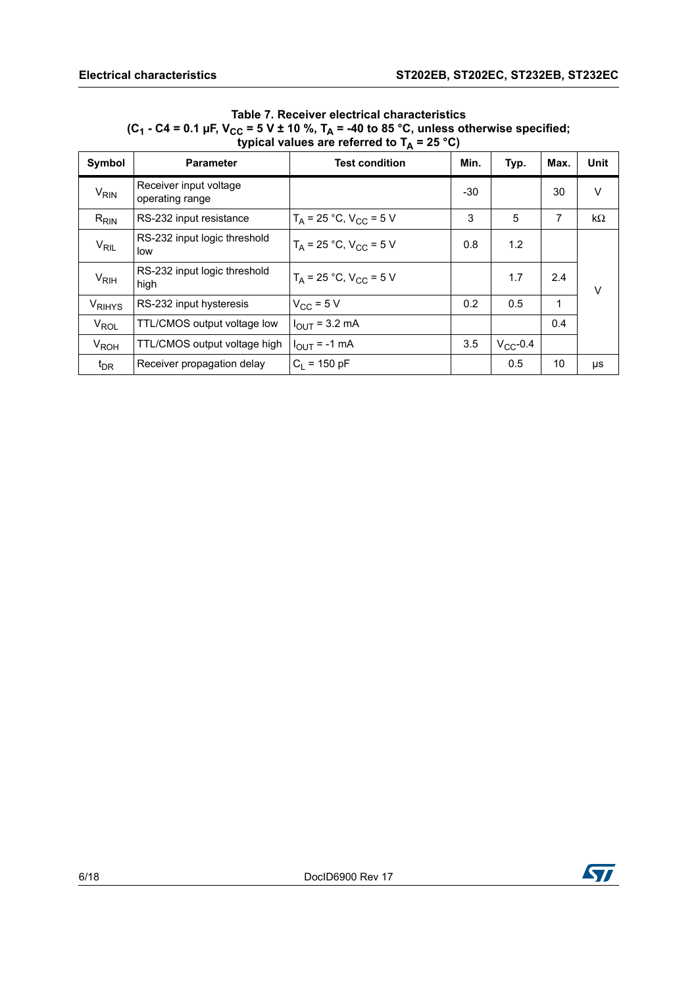#### **Table 7. Receiver electrical characteristics** (C<sub>1</sub> - C4 = 0.1 µF, V<sub>CC</sub> = 5 V ± 10 %, T<sub>A</sub> = -40 to 85 °C, unless otherwise specified; typical values are referred to T<sub>A</sub> = 25 °C)

| Symbol                 | <b>Parameter</b>                          | <b>Test condition</b>          | Min.  | Typ.          | Max. | Unit   |
|------------------------|-------------------------------------------|--------------------------------|-------|---------------|------|--------|
| $V_{\text{RIN}}$       | Receiver input voltage<br>operating range |                                | $-30$ |               | 30   | v      |
| $R_{RIN}$              | RS-232 input resistance                   | $T_A = 25 °C$ , $V_{CC} = 5 V$ | 3     | 5             | 7    | kΩ     |
| $V_{\mathsf{RIL}}$     | RS-232 input logic threshold<br>low       | $T_A = 25 °C$ , $V_{CC} = 5 V$ | 0.8   | 1.2           |      |        |
| $V_{\rm RIH}$          | RS-232 input logic threshold<br>high      | $T_A = 25 °C$ , $V_{CC} = 5 V$ |       | 1.7           | 2.4  | $\vee$ |
| V <sub>RIHYS</sub>     | RS-232 input hysteresis                   | $V_{CC}$ = 5 V                 | 0.2   | 0.5           | 1    |        |
| $V_{\text{ROL}}$       | TTL/CMOS output voltage low               | $I_{OUT}$ = 3.2 mA             |       |               | 0.4  |        |
| <b>V<sub>ROH</sub></b> | TTL/CMOS output voltage high              | $I_{OUT}$ = -1 mA              | 3.5   | $V_{CC}$ -0.4 |      |        |
| $t_{DR}$               | Receiver propagation delay                | $C_1$ = 150 pF                 |       | 0.5           | 10   | μs     |

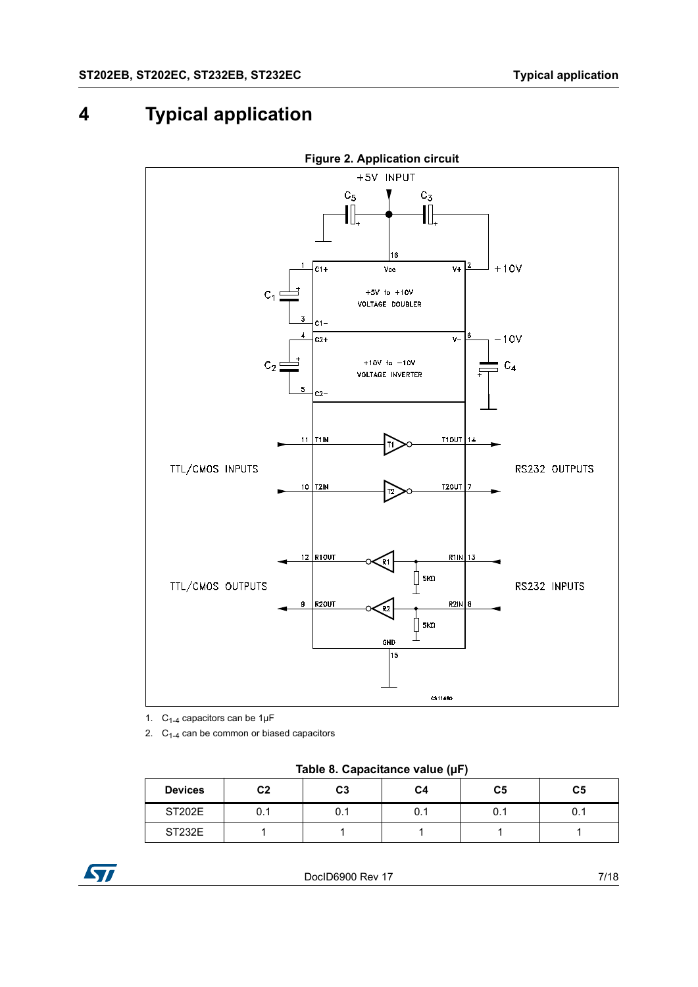# <span id="page-6-0"></span>**4 Typical application**



- 1.  $C_{1-4}$  capacitors can be 1µF
- 2.  $C_{1-4}$  can be common or biased capacitors

**Table 8. Capacitance value (µF)**

| <b>Devices</b> | C <sub>2</sub> | C3   | C4  | C <sub>5</sub> | C <sub>5</sub> |
|----------------|----------------|------|-----|----------------|----------------|
| <b>ST202E</b>  | U.I            | U. I | 0.1 | 0.1            | 0.1            |
| ST232E         |                |      |     |                |                |

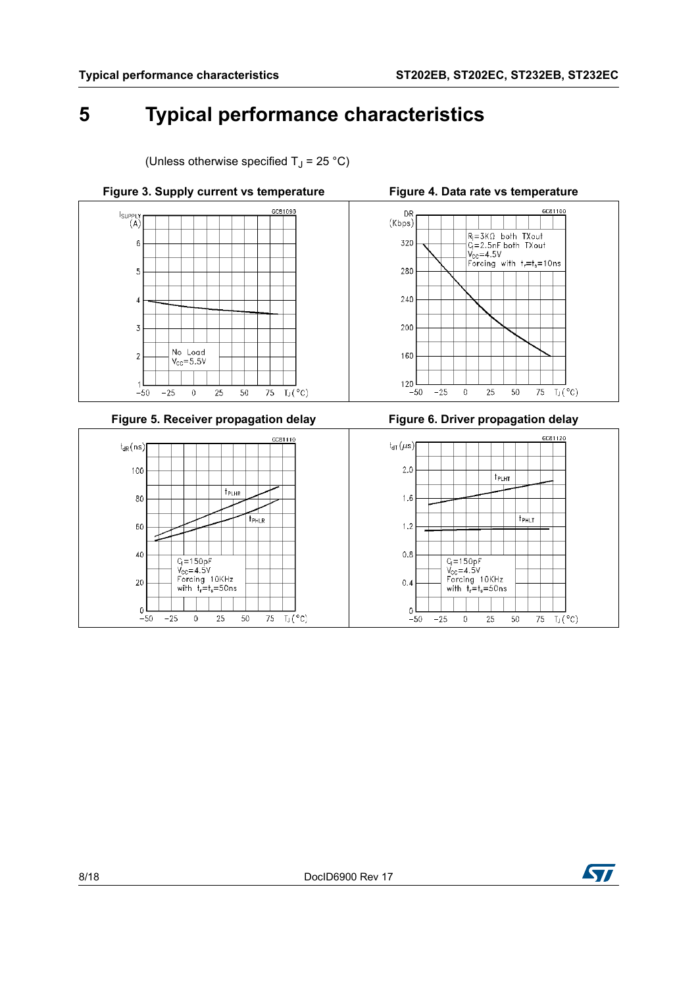80

60

40

 $20$ 

 $\mathbb O$ 

 $-50$ 

 $-25$ 

 $Q = 150pF$ <br> $V_{cc} = 4.5V$ 

 $\mathbf 0$ 

Forcing 10KHz<br>with  $t_r = t_s = 50$ ns

 $25\,$ 

 $50\,$ 

75

 $T_J$ (°C)

# <span id="page-7-0"></span>**5 Typical performance characteristics**

(Unless otherwise specified  $T_1 = 25 \degree C$ )

t<sub>PHLR</sub>



 $1.6$ 

 $1.2$ 

 $0.8\,$ 

 $0.4$ 

 $\mathbf 0$ 

 $-50$ 

 $-25\,$ 

 $Q = 150pF$ <br> $V_{cc} = 4.5V$ 

 $\mathbb O$ 

 $\frac{v_{\text{CC}}-4.5v}{v_{\text{C}}-4.5v}$ <br>with  $t_{\text{r}}=t_{\text{s}}=50\,\text{ns}$ 

25

 $50\,$ 

75

 $T_J$  ( $^{\circ}$ C)

 $t_{PHLT}$ 

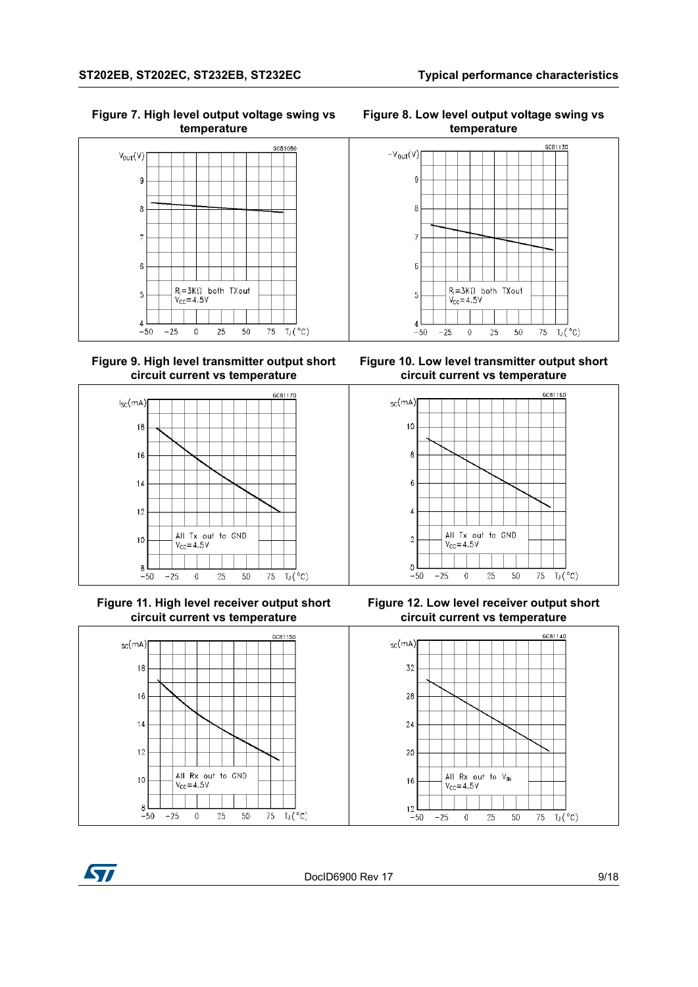**Figure 7. High level output voltage swing vs temperature**



**Figure 9. High level transmitter output short circuit current vs temperature**



**Figure 11. High level receiver output short circuit current vs temperature**



**Figure 8. Low level output voltage swing vs temperature**



**Figure 10. Low level transmitter output short circuit current vs temperature**



**Figure 12. Low level receiver output short circuit current vs temperature**



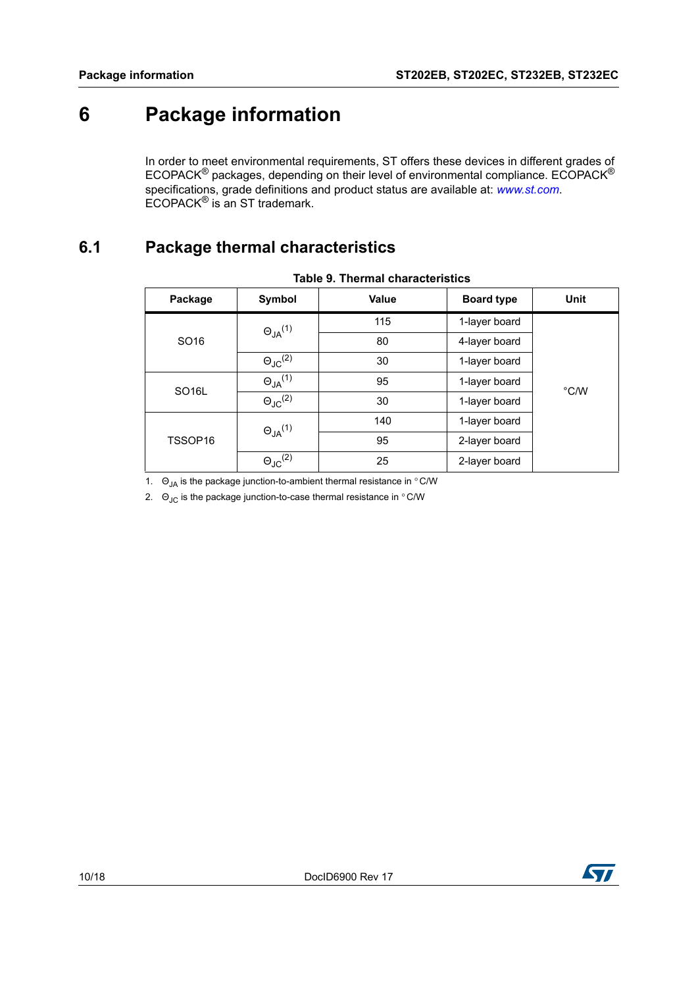# <span id="page-9-0"></span>**6 Package information**

In order to meet environmental requirements, ST offers these devices in different grades of ECOPACK® packages, depending on their level of environmental compliance. ECOPACK® specifications, grade definitions and product status are available at: *[www.st.com](http://www.st.com)*. ECOPACK® is an ST trademark.

## <span id="page-9-1"></span>**6.1 Package thermal characteristics**

| Package            | Symbol                     | <b>Value</b> | <b>Board type</b> | Unit          |  |
|--------------------|----------------------------|--------------|-------------------|---------------|--|
|                    | $\Theta_{JA}^{(1)}$        | 115          | 1-layer board     |               |  |
| SO <sub>16</sub>   |                            | 80           | 4-layer board     |               |  |
|                    | $\Theta_{\text{JC}}^{(2)}$ | 30           | 1-layer board     |               |  |
| SO <sub>16</sub> L | $\Theta_{JA}^{(1)}$        | 95           | 1-layer board     | $\degree$ C/W |  |
|                    | $\Theta_{JC}^{(2)}$        | 30           | 1-layer board     |               |  |
|                    | $\Theta_{JA}^{(1)}$        | 140          | 1-layer board     |               |  |
| TSSOP16            |                            | 95           | 2-layer board     |               |  |
|                    | $\Theta_{\text{JC}}^{(2)}$ | 25           | 2-layer board     |               |  |

|  |  |  |  | Table 9. Thermal characteristics |
|--|--|--|--|----------------------------------|
|--|--|--|--|----------------------------------|

<span id="page-9-2"></span>1.  $\Theta_{JA}$  is the package junction-to-ambient thermal resistance in  $\degree$  C/W

<span id="page-9-3"></span>2.  $\Theta_{\text{JC}}$  is the package junction-to-case thermal resistance in  $\degree$  C/W

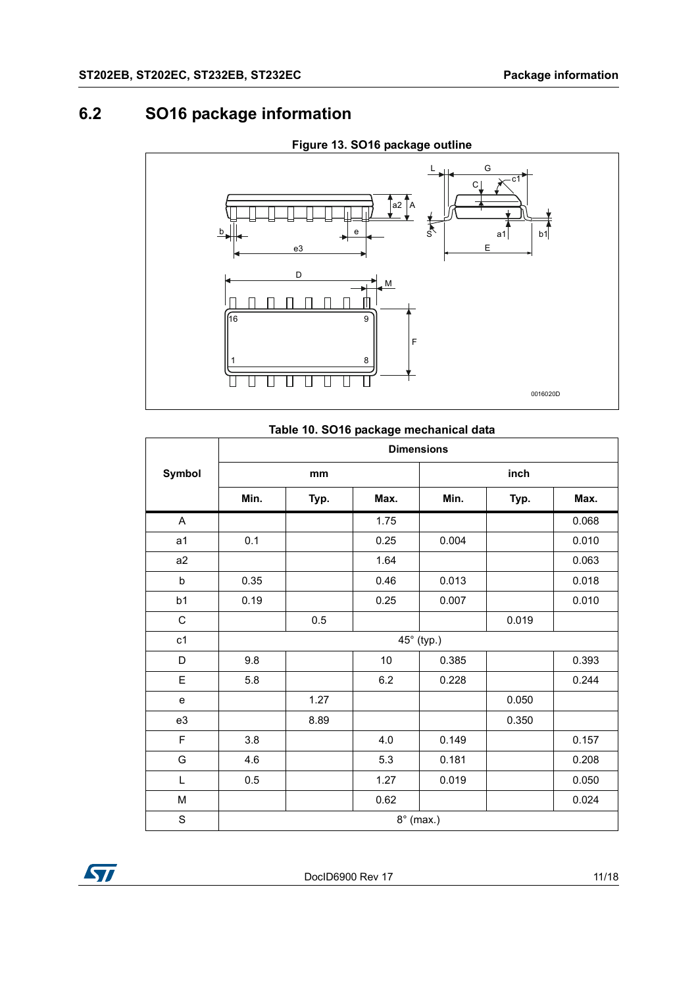## <span id="page-10-0"></span>**6.2 SO16 package information**



## **Figure 13. SO16 package outline**

#### **Table 10. SO16 package mechanical data**

|             | <b>Dimensions</b> |      |         |                  |       |       |  |  |
|-------------|-------------------|------|---------|------------------|-------|-------|--|--|
| Symbol      |                   | mm   |         | inch             |       |       |  |  |
|             | Min.              | Typ. | Max.    | Min.             | Typ.  | Max.  |  |  |
| A           |                   |      | 1.75    |                  |       | 0.068 |  |  |
| a1          | 0.1               |      | 0.25    | 0.004            |       | 0.010 |  |  |
| a2          |                   |      | 1.64    |                  |       | 0.063 |  |  |
| b           | 0.35              |      | 0.46    | 0.013            |       | 0.018 |  |  |
| b1          | 0.19              |      | 0.25    | 0.007            |       | 0.010 |  |  |
| ${\rm C}$   |                   | 0.5  |         |                  | 0.019 |       |  |  |
| c1          |                   |      |         | 45° (typ.)       |       |       |  |  |
| D           | 9.8               |      | 10      | 0.385            |       | 0.393 |  |  |
| E           | 5.8               |      | $6.2\,$ | 0.228            |       | 0.244 |  |  |
| e           |                   | 1.27 |         |                  | 0.050 |       |  |  |
| e3          |                   | 8.89 |         |                  | 0.350 |       |  |  |
| F           | 3.8               |      | 4.0     | 0.149            |       | 0.157 |  |  |
| G           | 4.6               |      | 5.3     | 0.181            |       | 0.208 |  |  |
| Г           | 0.5               |      | 1.27    | 0.019            |       | 0.050 |  |  |
| M           |                   |      | 0.62    |                  |       | 0.024 |  |  |
| $\mathbf S$ |                   |      |         | $8^\circ$ (max.) |       |       |  |  |

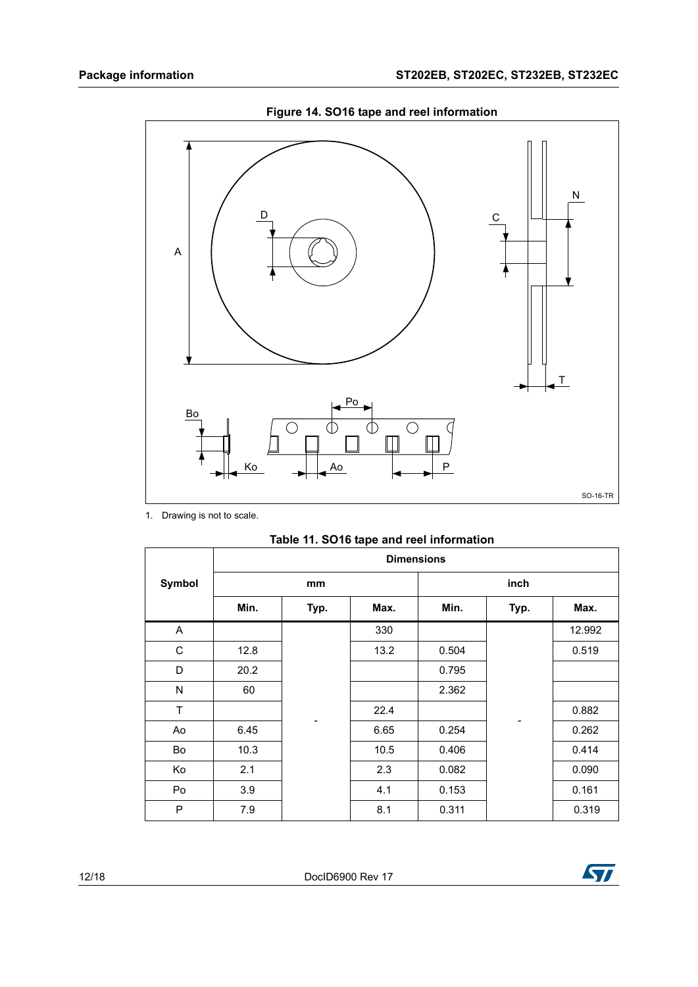

**Figure 14. SO16 tape and reel information**

1. Drawing is not to scale.

|  |  | Table 11. SO16 tape and reel information |
|--|--|------------------------------------------|
|--|--|------------------------------------------|

|               | <b>Dimensions</b> |      |      |       |      |        |
|---------------|-------------------|------|------|-------|------|--------|
| <b>Symbol</b> |                   | mm   |      |       | inch |        |
|               | Min.              | Typ. | Max. | Min.  | Typ. | Max.   |
| A             |                   |      | 330  |       |      | 12.992 |
| С             | 12.8              |      | 13.2 | 0.504 |      | 0.519  |
| D             | 20.2              |      |      | 0.795 |      |        |
| N             | 60                |      |      | 2.362 |      |        |
| T             |                   |      | 22.4 |       |      | 0.882  |
| Ao            | 6.45              |      | 6.65 | 0.254 |      | 0.262  |
| Bo            | 10.3              |      | 10.5 | 0.406 |      | 0.414  |
| Ko            | 2.1               |      | 2.3  | 0.082 |      | 0.090  |
| Po            | 3.9               |      | 4.1  | 0.153 |      | 0.161  |
| P             | 7.9               |      | 8.1  | 0.311 |      | 0.319  |

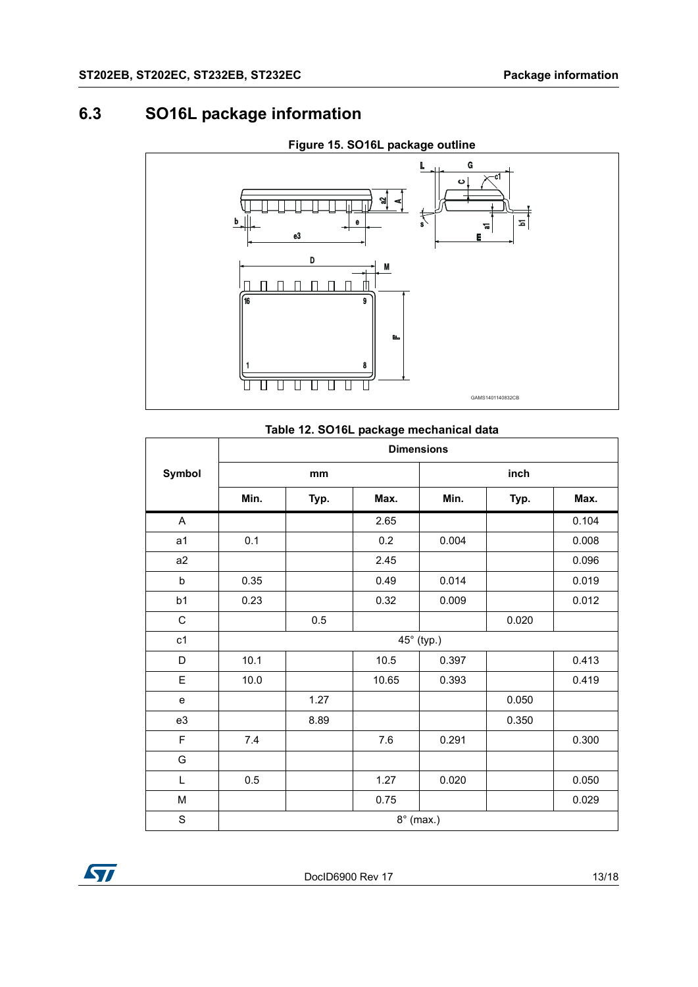## <span id="page-12-0"></span>**6.3 SO16L package information**



## **Figure 15. SO16L package outline**

#### **Table 12. SO16L package mechanical data**

|                | <b>Dimensions</b> |      |       |                  |       |       |  |  |
|----------------|-------------------|------|-------|------------------|-------|-------|--|--|
| Symbol         |                   | mm   |       | inch             |       |       |  |  |
|                | Min.              | Typ. | Max.  | Min.             | Typ.  | Max.  |  |  |
| A              |                   |      | 2.65  |                  |       | 0.104 |  |  |
| a <sub>1</sub> | 0.1               |      | 0.2   | 0.004            |       | 0.008 |  |  |
| a <sub>2</sub> |                   |      | 2.45  |                  |       | 0.096 |  |  |
| b              | 0.35              |      | 0.49  | 0.014            |       | 0.019 |  |  |
| b1             | 0.23              |      | 0.32  | 0.009            |       | 0.012 |  |  |
| $\mathsf C$    |                   | 0.5  |       |                  | 0.020 |       |  |  |
| c1             |                   |      |       | 45° (typ.)       |       |       |  |  |
| D              | 10.1              |      | 10.5  | 0.397            |       | 0.413 |  |  |
| E              | 10.0              |      | 10.65 | 0.393            |       | 0.419 |  |  |
| e              |                   | 1.27 |       |                  | 0.050 |       |  |  |
| e3             |                   | 8.89 |       |                  | 0.350 |       |  |  |
| F              | 7.4               |      | 7.6   | 0.291            |       | 0.300 |  |  |
| G              |                   |      |       |                  |       |       |  |  |
| Г              | 0.5               |      | 1.27  | 0.020            |       | 0.050 |  |  |
| М              |                   |      | 0.75  |                  |       | 0.029 |  |  |
| $\mathbf S$    |                   |      |       | $8^\circ$ (max.) |       |       |  |  |

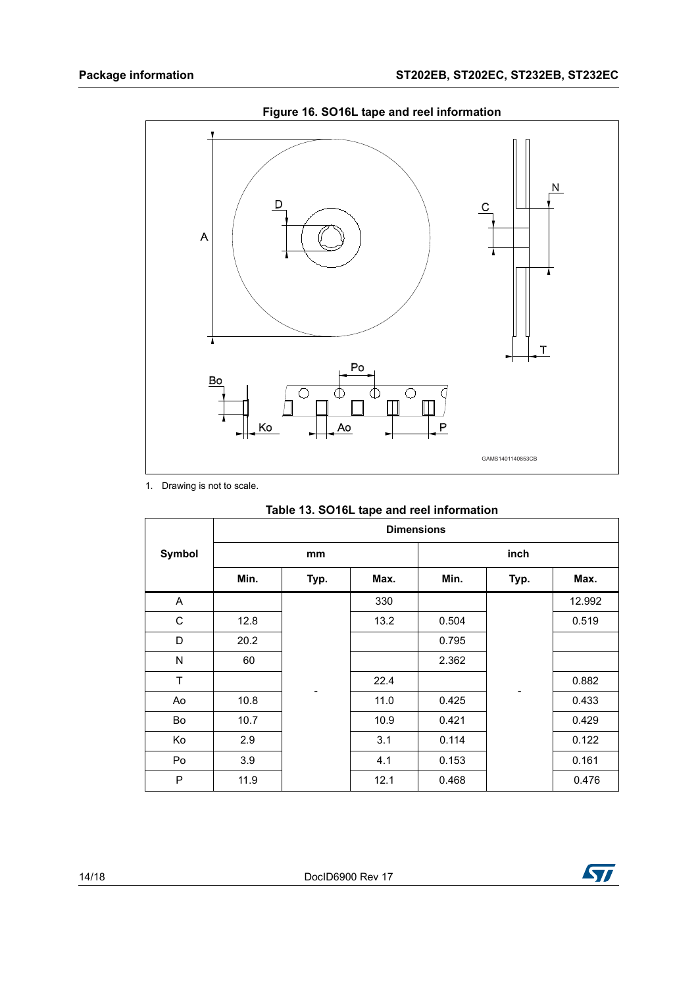

**Figure 16. SO16L tape and reel information**

1. Drawing is not to scale.

 $\overline{\Gamma}$ 

| Table 13. SO16L tape and reel information |
|-------------------------------------------|
| <b>Dimensions</b>                         |
|                                           |

|        | <b>Dimensions</b> |      |      |       |      |        |
|--------|-------------------|------|------|-------|------|--------|
| Symbol |                   | mm   |      |       | inch |        |
|        | Min.              | Typ. | Max. | Min.  | Typ. | Max.   |
| A      |                   |      | 330  |       |      | 12.992 |
| C      | 12.8              |      | 13.2 | 0.504 |      | 0.519  |
| D      | 20.2              |      |      | 0.795 |      |        |
| N      | 60                |      |      | 2.362 |      |        |
| T      |                   |      | 22.4 |       |      | 0.882  |
| Ao     | 10.8              |      | 11.0 | 0.425 |      | 0.433  |
| Bo     | 10.7              |      | 10.9 | 0.421 |      | 0.429  |
| Ko     | 2.9               |      | 3.1  | 0.114 |      | 0.122  |
| Po     | 3.9               |      | 4.1  | 0.153 |      | 0.161  |
| P      | 11.9              |      | 12.1 | 0.468 |      | 0.476  |

٦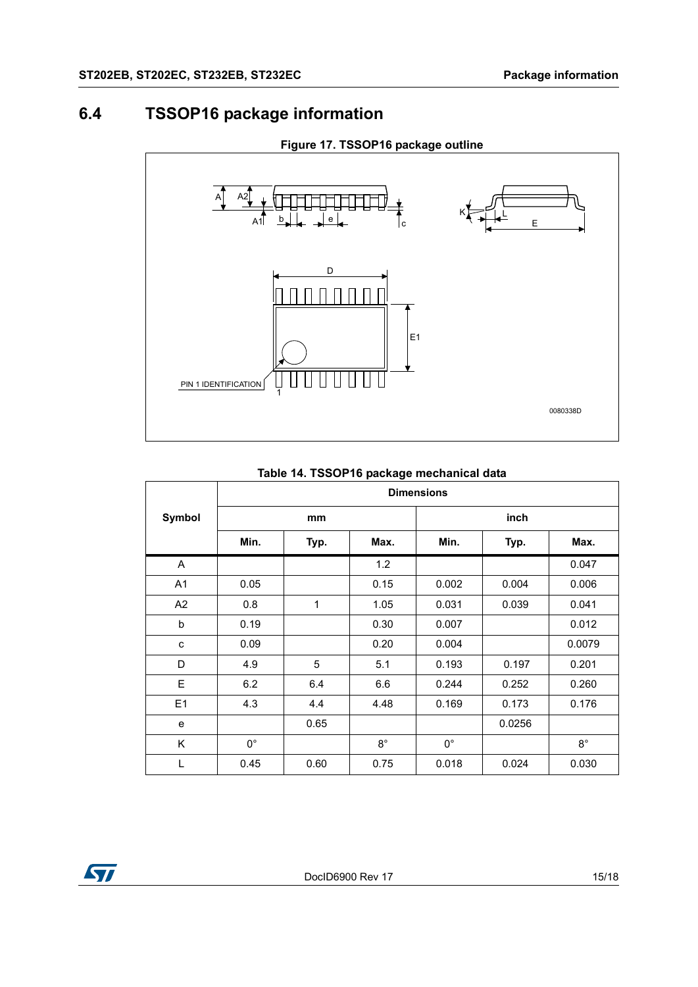## <span id="page-14-0"></span>**6.4 TSSOP16 package information**



#### **Figure 17. TSSOP16 package outline**

#### **Table 14. TSSOP16 package mechanical data**

|                | <b>Dimensions</b> |      |             |             |        |             |
|----------------|-------------------|------|-------------|-------------|--------|-------------|
| Symbol         |                   | mm   |             |             | inch   |             |
|                | Min.              | Typ. | Max.        | Min.        | Typ.   | Max.        |
| A              |                   |      | 1.2         |             |        | 0.047       |
| A <sub>1</sub> | 0.05              |      | 0.15        | 0.002       | 0.004  | 0.006       |
| A <sub>2</sub> | 0.8               | 1    | 1.05        | 0.031       | 0.039  | 0.041       |
| b              | 0.19              |      | 0.30        | 0.007       |        | 0.012       |
| c              | 0.09              |      | 0.20        | 0.004       |        | 0.0079      |
| D              | 4.9               | 5    | 5.1         | 0.193       | 0.197  | 0.201       |
| E              | 6.2               | 6.4  | 6.6         | 0.244       | 0.252  | 0.260       |
| E1             | 4.3               | 4.4  | 4.48        | 0.169       | 0.173  | 0.176       |
| e              |                   | 0.65 |             |             | 0.0256 |             |
| Κ              | $0^{\circ}$       |      | $8^{\circ}$ | $0^{\circ}$ |        | $8^{\circ}$ |
| L              | 0.45              | 0.60 | 0.75        | 0.018       | 0.024  | 0.030       |

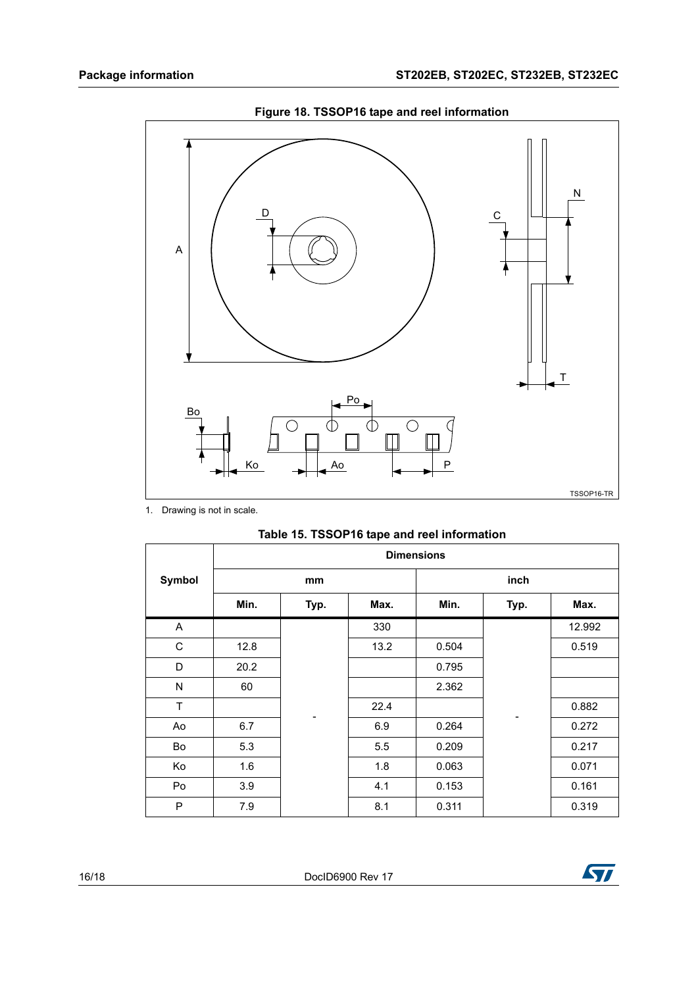

**Figure 18. TSSOP16 tape and reel information**

1. Drawing is not in scale.

|        | <b>Dimensions</b> |                          |      |       |                          |        |  |
|--------|-------------------|--------------------------|------|-------|--------------------------|--------|--|
| Symbol |                   | mm                       |      |       | inch                     |        |  |
|        | Min.              | Typ.                     | Max. | Min.  | Typ.                     | Max.   |  |
| A      |                   |                          | 330  |       |                          | 12.992 |  |
| C      | 12.8              |                          | 13.2 | 0.504 |                          | 0.519  |  |
| D      | 20.2              |                          |      | 0.795 |                          |        |  |
| N      | 60                |                          |      | 2.362 |                          |        |  |
| T      |                   | $\overline{\phantom{a}}$ | 22.4 |       | $\overline{\phantom{a}}$ | 0.882  |  |
| Ao     | 6.7               |                          | 6.9  | 0.264 |                          | 0.272  |  |
| Bo     | 5.3               |                          | 5.5  | 0.209 |                          | 0.217  |  |
| Ko     | 1.6               |                          | 1.8  | 0.063 |                          | 0.071  |  |
| Po     | 3.9               |                          | 4.1  | 0.153 |                          | 0.161  |  |
| P      | 7.9               |                          | 8.1  | 0.311 |                          | 0.319  |  |

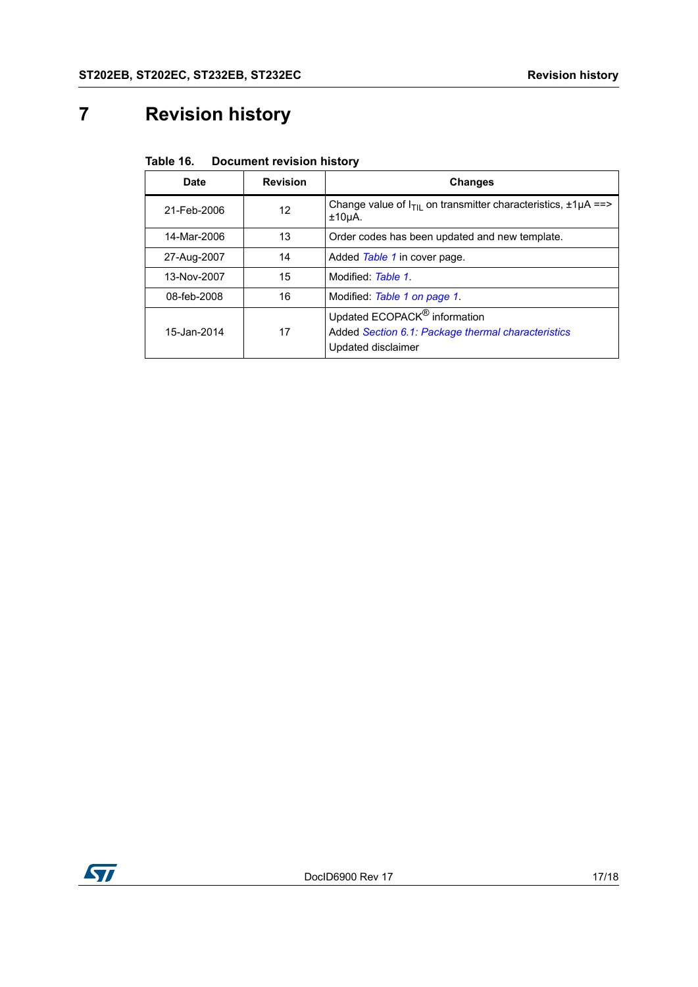# <span id="page-16-0"></span>**7 Revision history**

| Table 16.<br><b>Document revision history</b> |
|-----------------------------------------------|
|-----------------------------------------------|

| Date        | <b>Revision</b> | <b>Changes</b>                                                                                                       |
|-------------|-----------------|----------------------------------------------------------------------------------------------------------------------|
| 21-Feb-2006 | 12              | Change value of $I_{\text{TI}}$ on transmitter characteristics, $\pm 1 \mu A = \pm 1$<br>±10 <sub>µ</sub> A.         |
| 14-Mar-2006 | 13              | Order codes has been updated and new template.                                                                       |
| 27-Aug-2007 | 14              | Added Table 1 in cover page.                                                                                         |
| 13-Nov-2007 | 15              | Modified: Table 1.                                                                                                   |
| 08-feb-2008 | 16              | Modified: Table 1 on page 1                                                                                          |
| 15-Jan-2014 | 17              | Updated ECOPACK <sup>®</sup> information<br>Added Section 6.1: Package thermal characteristics<br>Updated disclaimer |